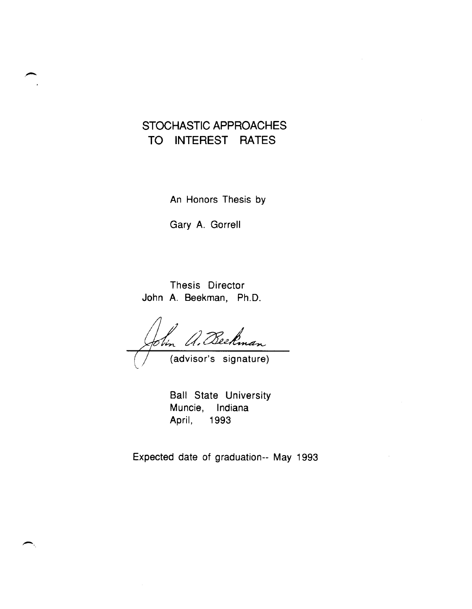# STOCHASTIC APPROACHES TO INTEREST RATES

An Honors Thesis by

Gary A. Gorrell

Thesis Director John A. Beekman, Ph.D.

. Beekman Obin (advisor's signature)

Ball State University Muncie, Indiana April, 1993

Expected date of graduation-- May 1993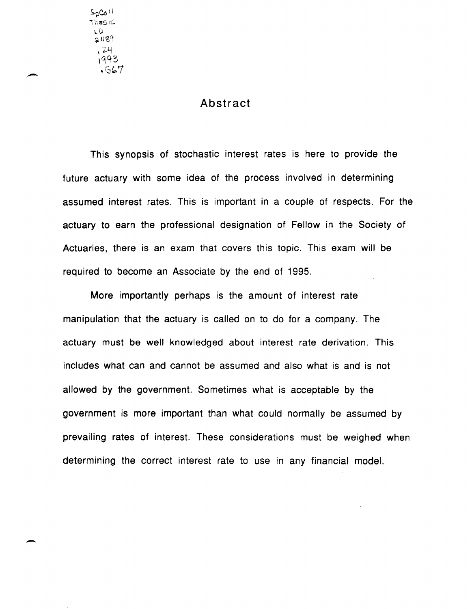$S_0C_0 \cup$ TheSI::: LD<br>2489  $24$ 1993  $.667$ 

-

-

#### Abstract

This synopsis of stochastic interest rates is here to provide the future actuary with some idea of the process involved in determining assumed interest rates. This is important in a couple of respects. For the actuary to earn the professional designation of Fellow in the Society of Actuaries, there is an exam that covers this topic. This exam will be required to become an Associate by the end of 1995.

More importantly perhaps is the amount of interest rate manipulation that the actuary is called on to do for a company. The actuary must be well knowledged about interest rate derivation. This includes what can and cannot be assumed and also what is and is not allowed by the government. Sometimes what is acceptable by the government is more important than what could normally be assumed by prevailing rates of interest. These considerations must be weighed when determining the correct interest rate to use in any financial model.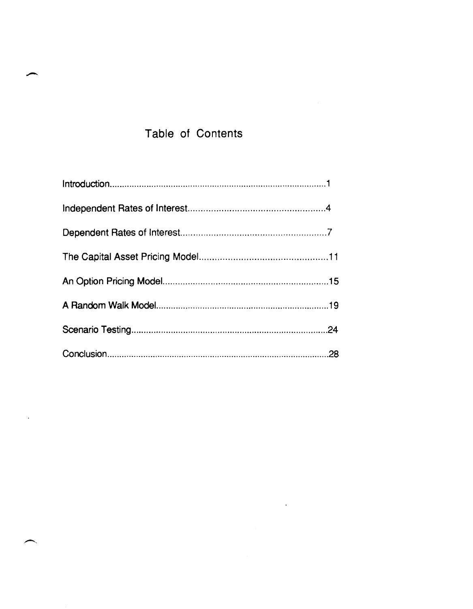# Table of Contents

 $\mathcal{L}^{\text{max}}_{\text{max}}$  and  $\mathcal{L}^{\text{max}}_{\text{max}}$ 

 $\ddot{\phantom{a}}$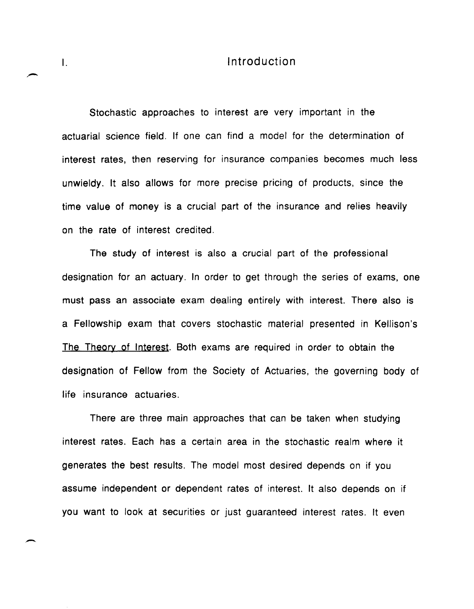#### I. Introduction

Stochastic approaches to interest are very important in the actuarial science field. If one can find a model for the determination of interest rates, then reserving for insurance companies becomes much less unwieldy. It also allows for more precise pricing of products, since the time value of money is a crucial part of the insurance and relies heavily on the rate of interest credited.

The study of interest is also a crucial part of the professional designation for an actuary. In order to get through the series of exams, one must pass an associate exam dealing entirely with interest. There also is a Fellowship exam that covers stochastic material presented in Kellison's The Theory of Interest. Both exams are required in order to obtain the designation of Fellow from the Society of Actuaries, the governing body of life insurance actuaries.

There are three main approaches that can be taken when studying interest rates. Each has a certain area in the stochastic realm where it generates the best results. The model most desired depends on if you assume independent or dependent rates of interest. It also depends on if you want to look at securities or just guaranteed interest rates. It even

-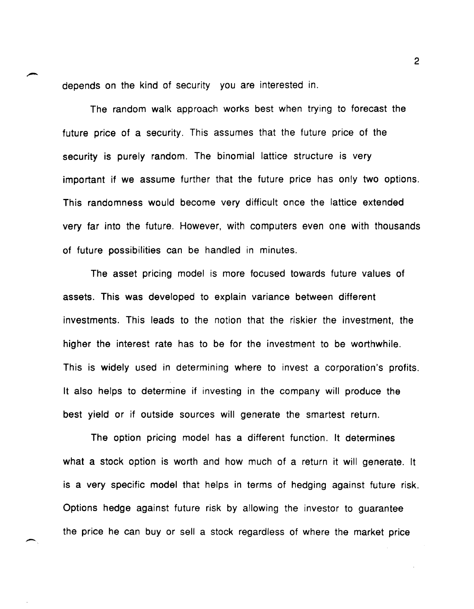depends on the kind of security you are interested in.

The random walk approach works best when trying to forecast the future price of a security. This assumes that the future price of the security is purely random. The binomial lattice structure is very important if we assume further that the future price has only two options. This randomness would become very difficult once the lattice extended very far into the future. However, with computers even one with thousands of future possibilities can be handled in minutes.

The asset pricing model is more focused towards future values of assets. This was developed to explain variance between different investments. This leads to the notion that the riskier the investment, the higher the interest rate has to be for the investment to be worthwhile. This is widely used in determining where to invest a corporation's profits. It also helps to determine if investing in the company will produce the best yield or if outside sources will generate the smartest return.

The option pricing model has a different function. It determines what a stock option is worth and how much of a return it will generate. It is a very specific model that helps in terms of hedging against future risk. Options hedge against future risk by allowing the investor to guarantee the price he can buy or sell a stock regardless of where the market price

 $\overline{\phantom{0}}$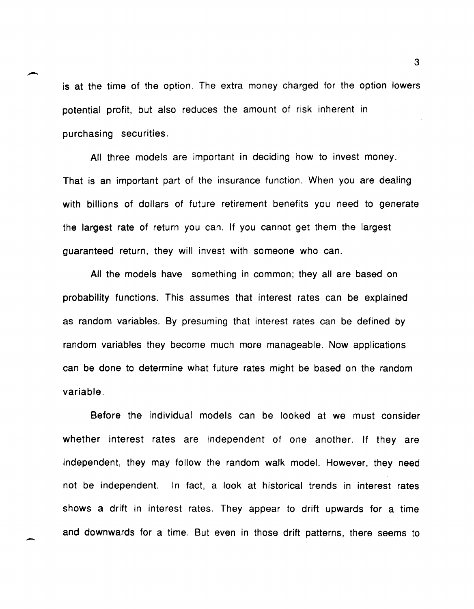is at the time of the option. The extra money charged for the option lowers potential profit, but also reduces the amount of risk inherent in purchasing securities.

All three models are important in deciding how to invest money. That is an important part of the insurance function. When you are dealing with billions of dollars of future retirement benefits you need to generate the largest rate of return you can. If you cannot get them the largest guaranteed return, they will invest with someone who can.

All the models have something in common; they all are based on probability functions. This assumes that interest rates can be explained as random variables. By presuming that interest rates can be defined by random variables they become much more manageable. Now applications can be done to determine what future rates might be based on the random variable.

Before the individual models can be looked at we must consider whether interest rates are independent of one another. If they are independent, they may follow the random walk model. However, they need not be independent. In fact, a look at historical trends in interest rates shows a drift in interest rates. They appear to drift upwards for a time and downwards for a time. But even in those drift patterns, there seems to

-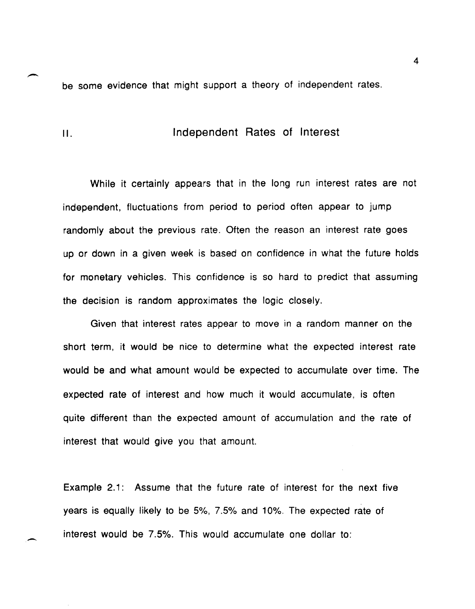be some evidence that might support a theory of independent rates.

II. Independent Rates of Interest

-.

-

While it certainly appears that in the long run interest rates are not independent, fluctuations from period to period often appear to jump randomly about the previous rate. Often the reason an interest rate goes up or down in a given week is based on confidence in what the future holds for monetary vehicles. This confidence is so hard to predict that assuming the decision is random approximates the logic closely.

Given that interest rates appear to move in a random manner on the short term, it would be nice to determine what the expected interest rate would be and what amount would be expected to accumulate over time. The expected rate of interest and how much it would accumulate, is often quite different than the expected amount of accumulation and the rate of interest that would give you that amount.

Example 2.1: Assume that the future rate of interest for the next five years is equally likely to be 5%, 7.5% and 10%. The expected rate of interest would be 7.5%. This would accumulate one dollar to: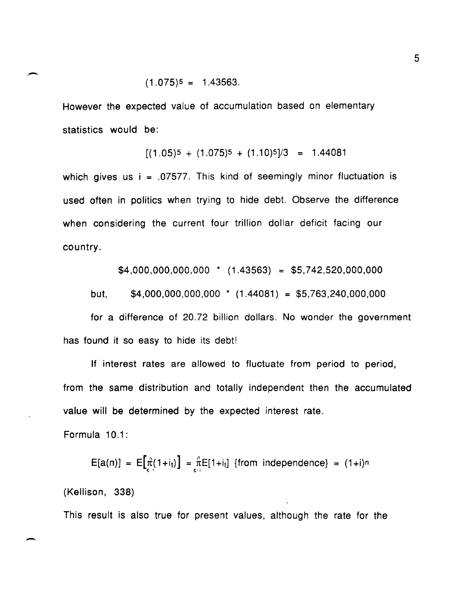However the expected value of accumulation based on elementary statistics would be:

$$
[(1.05)^5 + (1.075)^5 + (1.10)^5]/3 = 1.44081
$$

which gives us  $i = 0.07577$ . This kind of seemingly minor fluctuation is used often in politics when trying to hide debt. Observe the difference when considering the current four trillion dollar deficit facing our country.

 $$4,000,000,000,000$  \* (1.43563) = \$5,742,520,000,000

but,  $$4,000,000,000,000$  \*  $(1.44081) = $5,763,240,000,000$ 

for a difference of 20.72 billion dollars. No wonder the government has found it so easy to hide its debt!

If interest rates are allowed to fluctuate from period to period, from the same distribution and totally independent then the accumulated value will be determined by the expected interest rate.

Formula 10.1:

 $E[a(n)] = E[\hat{\pi}(1+i_{t})] = \frac{\pi}{t_{t+1}} E[1+i_{t}]$  {from independence} =  $(1+i)^{n}$ 

(Kellison, 338)

This result is also true for present values, although the rate for the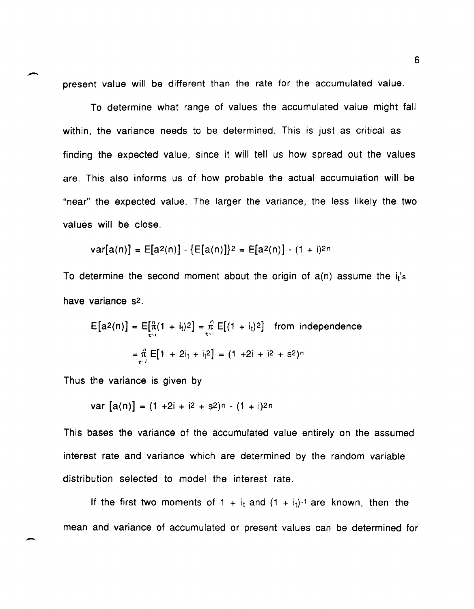present value will be different than the rate for the accumulated value.

To determine what range of values the accumulated value might fall within, the variance needs to be determined. This is just as critical as finding the expected value, since it will tell us how spread out the values are. This also informs us of how probable the actual accumulation will be "near" the expected value. The larger the variance, the less likely the two values will be close.

$$
var[a(n)] = E[a^2(n)] - \{E[a(n)]\}^2 = E[a^2(n)] - (1 + i)^{2n}
$$

To determine the second moment about the origin of  $a(n)$  assume the  $i<sub>t</sub>'s$ have variance s<sup>2</sup>.

$$
E[a^{2}(n)] = E[\frac{n}{t^{2}}(1 + i_{t})^{2}] = \frac{n}{t^{2}} E[(1 + i_{t})^{2}] \text{ from independence}
$$

$$
= \frac{n}{t^{2}} E[1 + 2i_{t} + i_{t}^{2}] = (1 + 2i + i^{2} + s^{2})^{n}
$$

Thus the variance is given by

 $\overline{\phantom{0}}$ 

var  $[a(n)] = (1 + 2i + i2 + s2)n - (1 + i)2n$ 

This bases the variance of the accumulated value entirely on the assumed interest rate and variance which are determined by the random variable distribution selected to model the interest rate.

If the first two moments of 1 +  $i_t$  and  $(1 + i_t)^{-1}$  are known, then the mean and variance of accumulated or present values can be determined for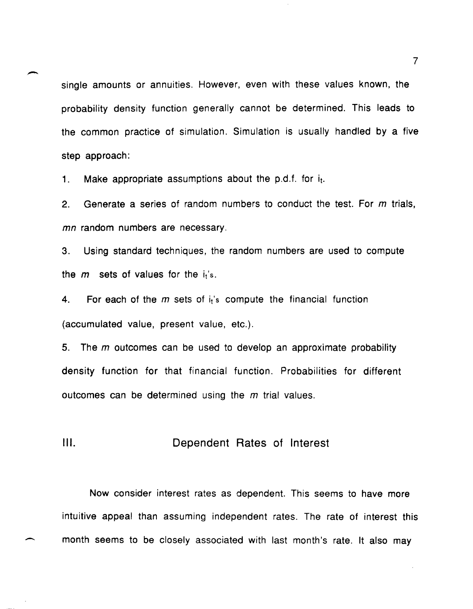single amounts or annuities. However, even with these values known, the probability density function generally cannot be determined. This leads to the common practice of simulation. Simulation is usually handled by a five step approach:

1. Make appropriate assumptions about the p.d.f. for  $i_t$ .

-

-

2. Generate a series of random numbers to conduct the test. For  $m$  trials, *mn* random numbers are necessary.

3. Using standard techniques, the random numbers are used to compute the  $m$  sets of values for the  $i_t$ 's.

4. For each of the  $m$  sets of  $i<sub>i</sub>$ 's compute the financial function (accumulated value, present value, etc.).

5. The  $m$  outcomes can be used to develop an approximate probability density function for that financial function. Probabilities for different outcomes can be determined using the  $m$  trial values.

**III.** Dependent Rates of Interest

Now consider interest rates as dependent. This seems to have more intuitive appeal than assuming independent rates. The rate of interest this month seems to be closely associated with last month's rate. It also may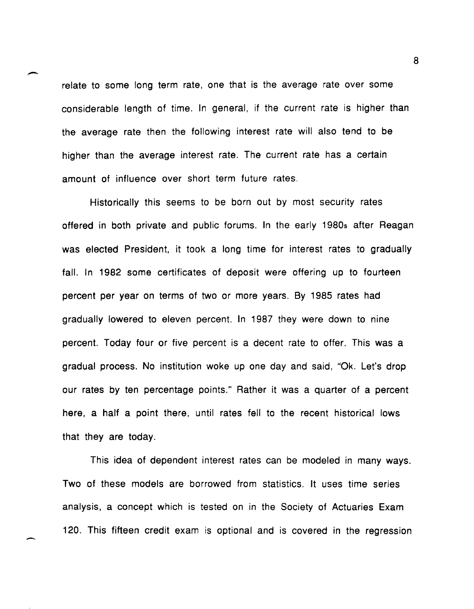relate to some long term rate, one that is the average rate over some considerable length of time. In general, if the current rate is higher than the average rate then the following interest rate will also tend to be higher than the average interest rate. The current rate has a certain amount of influence over short term future rates.

Historically this seems to be born out by most security rates offered in both private and public forums. In the early 1980s after Reagan was elected President, it took a long time for interest rates to gradually fall. In 1982 some certificates of deposit were offering up to fourteen percent per year on terms of two or more years. By 1985 rates had gradually lowered to eleven percent. In 1987 they were down to nine percent. Today four or five percent is a decent rate to offer. This was a gradual process. No institution woke up one day and said, "Ok. Let's drop our rates by ten percentage paints." Rather it was a quarter of a percent here, a half a point there, until rates fell to the recent historical lows that they are today.

This idea of dependent interest rates can be modeled in many ways. Two of these models are borrowed from statistics. It uses time series analysis, a concept which is tested on in the Society of Actuaries Exam 120. This fifteen credit exam is optional and is covered in the regression

-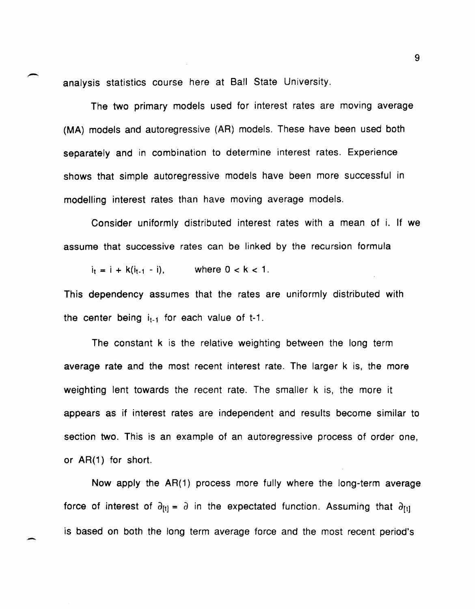analysis statistics course here at Ball State University.

-

-

The two primary models used for interest rates are moving average (MA) models and autoregressive (AR) models. These have been used both separately and in combination to determine interest rates. Experience shows that simple autoregressive models have been more successful in modelling interest rates than have moving average models.

Consider uniformly distributed interest rates with a mean of i. If we assume that successive rates can be linked by the recursion formula

 $i_t = i + k(i_{t-1} - i)$ , where  $0 < k < 1$ .

This dependency assumes that the rates are uniformly distributed with the center being  $i_{t-1}$  for each value of t-1.

The constant k is the relative weighting between the long term average rate and the most recent interest rate. The larger k is, the more weighting lent towards the recent rate. The smaller k is, the more it appears as if interest rates are independent and results become similar to section two. This is an example of an autoregressive process of order one, or AR(1) for short.

Now apply the AR(1) process more fully where the long-term average force of interest of  $\partial_{[t]} = \partial$  in the expectated function. Assuming that  $\partial_{[t]}$ is based on both the long term average force and the most recent period's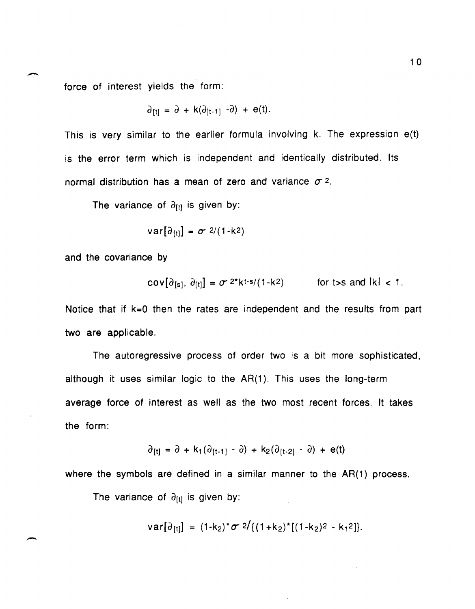force of interest yields the form:

$$
\partial_{[t]} = \partial + k(\partial_{[t-1]} - \partial) + e(t).
$$

This is very similar to the earlier formula involving k. The expression e(t) is the error term which is independent and identically distributed. Its normal distribution has a mean of zero and variance  $\sigma$  2.

The variance of  $\partial_{[t]}$  is given by:

$$
var[\partial_{\{t\}}] = \sigma \sqrt{2/(1-k^2)}
$$

and the covariance by

-

$$
\text{cov}[\partial_{[s]}, \partial_{[t]}] = \sigma^{2*} k^{t-s} / (1-k^2) \qquad \text{for } t > s \text{ and } |k| < 1.
$$

Notice that if k=O then the rates are independent and the results from part two are applicable.

The autoregressive process of order two is a bit more sophisticated, although it uses similar logic to the AR(1). This uses the long-term average force of interest as well as the two most recent forces. It takes the form:

$$
\partial_{[t]} = \partial + k_1(\partial_{[t-1]} - \partial) + k_2(\partial_{[t-2]} - \partial) + e(t)
$$

where the symbols are defined in a similar manner to the AR(1) process.

The variance of  $\partial_{[t]}$  is given by:

$$
var[\partial_{[t]}] = (1-k_2)^{\star}\sigma \frac{2}{(1+k_2)^{\star}[(1-k_2)^2 - k_1^2]}.
$$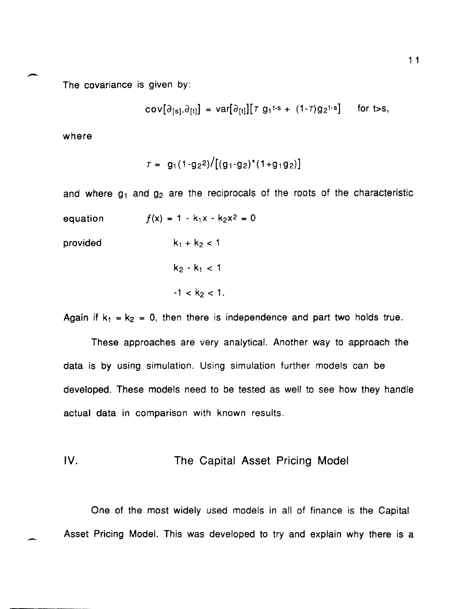The covariance is given by:<br>
The covariance is given by: The covariance is given by:

$$
\text{cov}[\partial_{[s]}, \partial_{[t]}] = \text{var}[\partial_{[t]}][\tau g_1^{t-s} + (1-\tau)g_2^{t-s}] \quad \text{for t>s},
$$

where

$$
\tau = g_1(1-g_2^2)/[(g_1-g_2)^*(1+g_1g_2)]
$$

and where  $g_1$  and  $g_2$  are the reciprocals of the roots of the characteristic

equation  $f(x) = 1 - k_1 x - k_2 x^2 = 0$ 

provided

$$
k_2 - k_1 < 1
$$
\n
$$
-1 < k_2 < 1.
$$

 $k_1 + k_2 < 1$ 

Again if  $k_1 = k_2 = 0$ , then there is independence and part two holds true.

These approaches are very analytical. Another way to approach the data is by using simulation. Using simulation further models can be developed. These models need to be tested as well to see how they handle actual data in comparison with known results.

### IV. The Capital Asset Pricing Model

One of the most widely used models in all of finance is the Capital Asset Pricing Model. This was developed to try and explain why there is a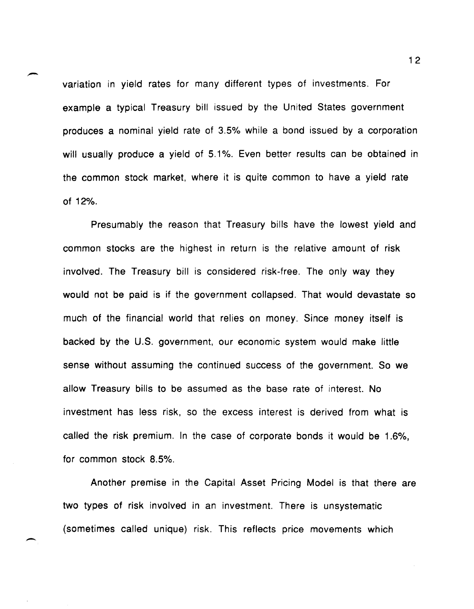variation in yield rates for many different types of investments. For example a typical Treasury bill issued by the United States government produces a nominal yield rate of 3.5% while a bond issued by a corporation will usually produce a yield of 5.1%. Even better results can be obtained in the common stock market, where it is quite common to have a yield rate of 12%.

-

 $\overline{\phantom{0}}$ 

Presumably the reason that Treasury bills have the lowest yield and common stocks are the highest in return is the relative amount of risk involved. The Treasury bill is considered risk-free. The only way they would not be paid is if the government collapsed. That would devastate so much of the financial world that relies on money. Since money itself is backed by the U.S. government, our economic system would make little sense without assuming the continued success of the government. So we allow Treasury bills to be assumed as the base rate of interest. No investment has less risk, so the excess interest is derived from what is called the risk premium. In the case of corporate bonds it would be 1.6%, for common stock 8.5%.

Another premise in the Capital Asset Pricing Model is that there are two types of risk involved in an investment. There is unsystematic (sometimes called unique) risk. This reflects price movements which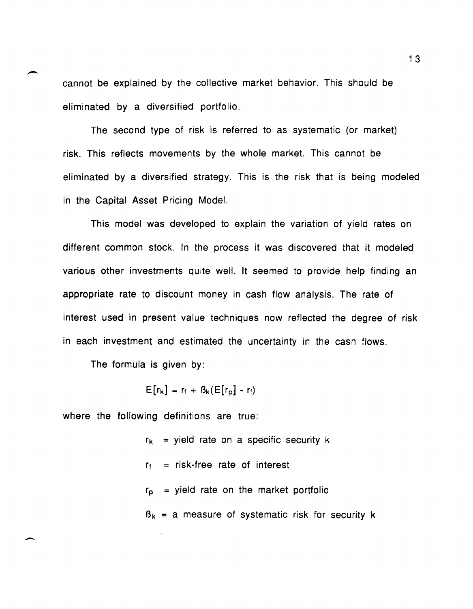cannot be explained by the collective market behavior. This should be eliminated by a diversified portfolio.

The second type of risk is referred to as systematic (or market) risk. This reflects movements by the whole market. This cannot be eliminated by a diversified strategy. This is the risk that is being modeled in the Capital Asset Pricing Model.

This model was developed to explain the variation of yield rates on different common stock. In the process it was discovered that it modeled various other investments quite well. It seemed to provide help finding an appropriate rate to discount money in cash flow analysis. The rate of interest used in present value techniques now reflected the degree of risk in each investment and estimated the uncertainty in the cash flows.

The formula is given by:

 $\overline{\phantom{a}}$ 

 $E[r_k] = r_f + B_k(E[r_p] - r_f)$ 

where the following definitions are true:

 $r_k$  = yield rate on a specific security k  $r_f$  = risk-free rate of interest  $r_p$  = yield rate on the market portfolio  $B_k$  = a measure of systematic risk for security k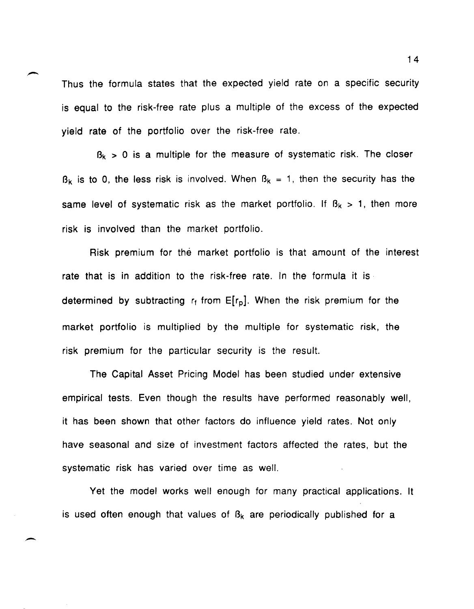Thus the formula states that the expected yield rate on a specific security is equal to the risk-free rate plus a multiple of the excess of the expected yield rate of the portfolio over the risk-free rate.

 $B_k$  > 0 is a multiple for the measure of systematic risk. The closer  $B_k$  is to 0, the less risk is involved. When  $B_k = 1$ , then the security has the same level of systematic risk as the market portfolio. If  $B_k > 1$ , then more risk is involved than the market portfolio.

Risk premium for the market portfolio is that amount of the interest rate that is in addition to the risk-free rate. In the formula it is determined by subtracting  $r_f$  from  $E[r_p]$ . When the risk premium for the market portfolio is multiplied by the multiple for systematic risk, the risk premium for the particular security is the result.

The Capital Asset Pricing Model has been studied under extensive empirical tests. Even though the results have performed reasonably well, it has been shown that other factors do influence yield rates. Not only have seasonal and size of investment factors affected the rates, but the systematic risk has varied over time as well.

Yet the model works well enough for many practical applications. It is used often enough that values of  $B_k$  are periodically published for a

-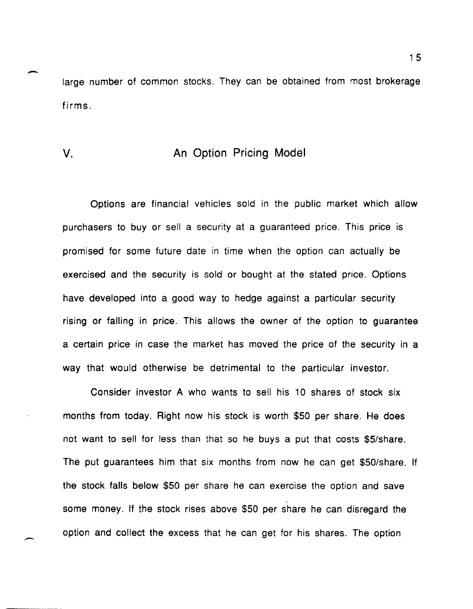large number of common stocks. They can be obtained from most brokerage firms.

### v. An Option Pricing Model

Options are financial vehicles sold in the public market which allow purchasers to buy or sell a security at a guaranteed price. This price is promised for some future date in time when the option can actually be exercised and the security is sold or bought at the stated price. Options have developed into a good way to hedge against a particular security rising or falling in price. This allows the owner of the option to guarantee a certain price in case the market has moved the price of the security in a way that would otherwise be detrimental to the particular investor.

Consider investor A who wants to sell his 10 shares of stock six months from today. Right now his stock is worth \$50 per share. He does not want to sell for less than that so he buys a put that costs \$5/share. The put guarantees him that six months from now he can get \$50/share. If the stock falls below \$50 per share he can exercise the option and save some money. If the stock rises above \$50 per share he can disregard the option and collect the excess that he can get for his shares. The option

 $\overline{\phantom{0}}$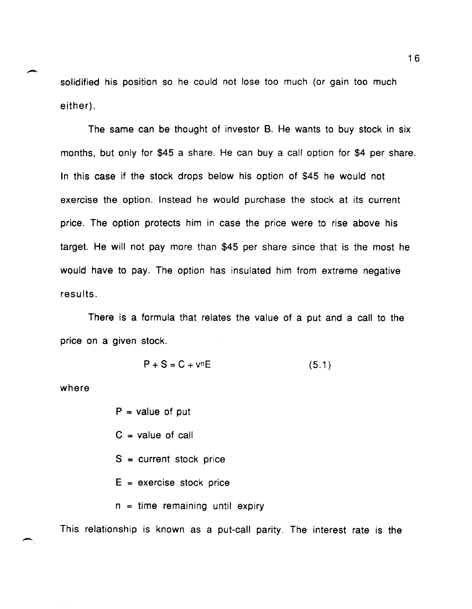solidified his position so he could not lose too much (or gain too much either) .

The same can be thought of investor B. He wants to buy stock in six months, but only for \$45 a share. He can buy a call option for \$4 per share. In this case if the stock drops below his option of \$45 he would not exercise the option. Instead he would purchase the stock at its current price. The option protects him in case the price were to rise above his target. He will not pay more than \$45 per share since that is the most he would have to pay. The option has insulated him from extreme negative results.

There is a formula that relates the value of a put and a call to the price on a given stock.

$$
P + S = C + vnE
$$
 (5.1)

where

 $\overline{\phantom{0}}$ 

-

 $P = value of put$ 

 $C = value of call$ 

S = current stock price

 $E =$  exercise stock price

 $n =$  time remaining until expiry

This relationship is known as a put-call parity. The interest rate is the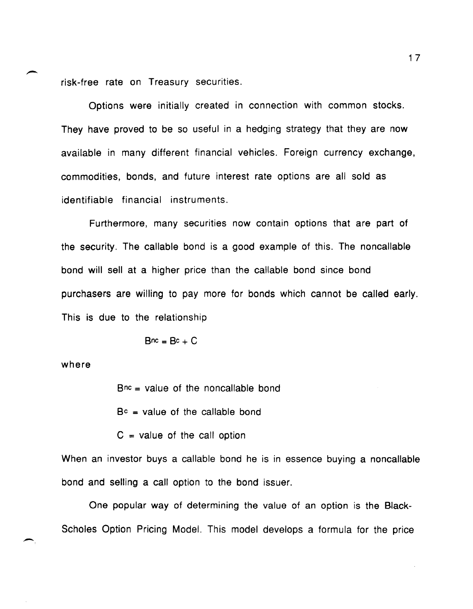risk-free rate on Treasury securities.

Options were initially created in connection with common stocks. They have proved to be so useful in a hedging strategy that they are now available in many different financial vehicles. Foreign currency exchange, commodities, bonds, and future interest rate options are all sold as identifiable financial instruments.

Furthermore, many securities now contain options that are part of the security. The callable bond is a good example of this. The noncallable bond will sell at a higher price than the callable bond since bond purchasers are willing to pay more for bonds which cannot be called early. This is due to the relationship

$$
B^{nc} = B^c + C
$$

where

 $\overline{\phantom{0}}$ 

 $Bnc = value$  of the noncallable bond

 $B<sup>c</sup>$  = value of the callable bond

 $C =$  value of the call option

When an investor buys a callable bond he is in essence buying a noncallable bond and selling a call option to the bond issuer.

One popular way of determining the value of an option is the Black-Scholes Option Pricing Model. This model develops a formula for the price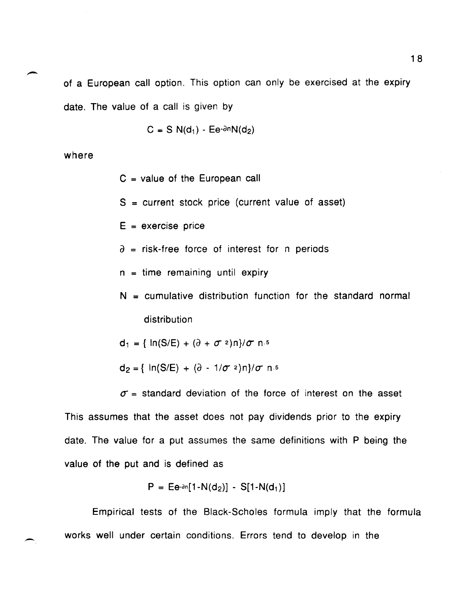of a European call option. This option can only be exercised at the expiry date. The value of a call is given by

 $C = S N(d_1) - Ee^{-\partial n} N(d_2)$ 

where

- $C =$  value of the European call
- $S =$  current stock price (current value of asset)
- $E =$  exercise price
- $\partial$  = risk-free force of interest for n periods
- $n =$  time remaining until expiry
- $N =$  cumulative distribution function for the standard normal distribution

 $d_1 = \{ ln(S/E) + (\partial + \sigma^2)n \} / \sigma n.5$ 

 $d_2 = \{ ln(S/E) + (\partial - 1/\sigma^2)n \} / \sigma n.5$ 

 $\sigma$  = standard deviation of the force of interest on the asset This assumes that the asset does not pay dividends prior to the expiry date. The value for a put assumes the same definitions with P being the value of the put and is defined as

$$
P = \text{E}e^{-\partial n}[1 - N(d_2)] - S[1 - N(d_1)]
$$

Empirical tests of the Black-Scholes formula imply that the formula works well under certain conditions. Errors tend to develop in the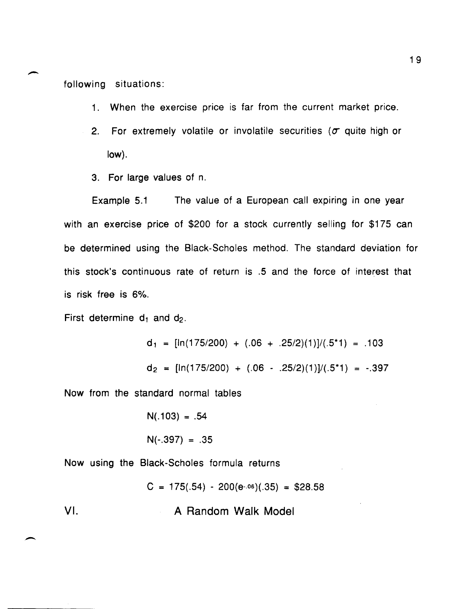following situations:

- 1. When the exercise price is far from the current market price.
- 2. For extremely volatile or involatile securities ( $\sigma$  quite high or low).
- 3. For large values of n.

Example 5.1 The value of a European call expiring in one year with an exercise price of \$200 for a stock currently selling for \$175 can be determined using the Black-Scholes method. The standard deviation for this stock's continuous rate of return is .5 and the force of interest that is risk free is 6%.

First determine  $d_1$  and  $d_2$ .

 $\overline{\phantom{0}}$ 

$$
d_1 = [\ln(175/200) + (.06 + .25/2)(1)]/(.5*1) = .103
$$
  

$$
d_2 = [\ln(175/200) + (.06 - .25/2)(1)]/(.5*1) = -.397
$$

Now from the standard normal tables

 $N(.103) = .54$  $N(-.397) = .35$ 

Now USing the Black-Scholes formula returns

 $C = 175(.54) - 200(e^{0.06})(0.35) = $28.58$ VI. A Random Walk Model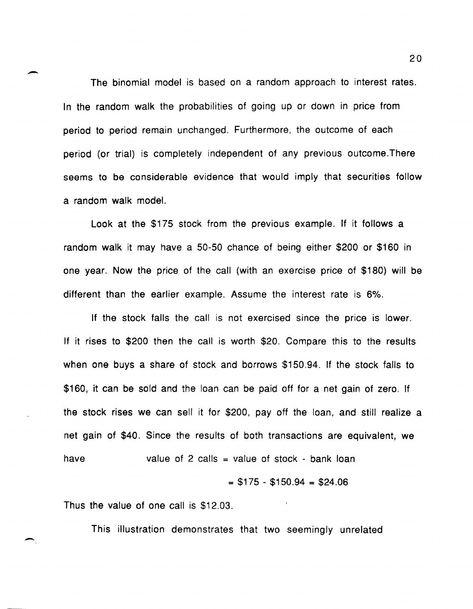The binomial model is based on a random approach to interest rates. In the random walk the probabilities of going up or down in price from period to period remain unchanged. Furthermore, the outcome of each period (or trial) is completely independent of any previous outcome.There seems to be considerable evidence that would imply that securities follow a random walk model.

Look at the \$175 stock from the previous example. If it follows a random walk it may have a 50-50 chance of being either \$200 or \$160 in one year. Now the price of the call (with an exercise price of \$180) will be different than the earlier example. Assume the interest rate is 6%.

If the stock falls the call is not exercised since the price is lower. If it rises to \$200 then the call is worth \$20. Compare this to the results when one buys a share of stock and borrows \$150.94. If the stock falls to \$160, it can be sold and the loan can be paid off for a net gain of zero. If the stock rises we can sell it for \$200, payoff the loan, and still realize a net gain of \$40. Since the results of both transactions are equivalent, we have value of 2 calls = value of stock - bank loan

 $=$  \$175 - \$150.94 = \$24.06

Thus the value of one call is \$12.03.

-

-

This illustration demonstrates that two seemingly unrelated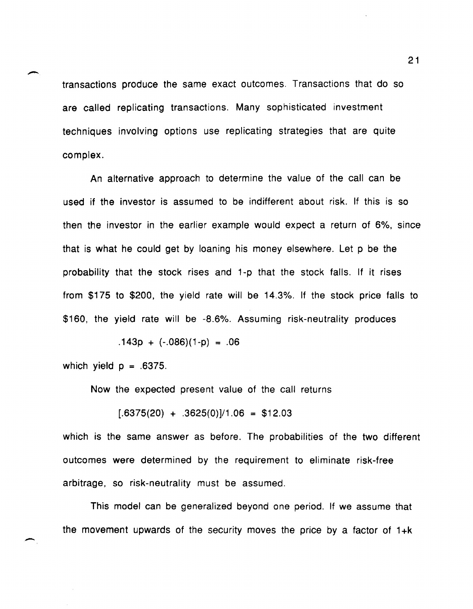transactions produce the same exact outcomes. Transactions that do so are called replicating transactions. Many sophisticated investment techniques involving options use replicating strategies that are quite complex.

An alternative approach to determine the value of the call can be used if the investor is assumed to be indifferent about risk. If this is so then the investor in the earlier example would expect a return of 6%, since that is what he could get by loaning his money elsewhere. Let p be the probability that the stock rises and 1-p that the stock falls. If it rises from \$175 to \$200, the yield rate will be 14.3%. If the stock price falls to \$160, the yield rate will be -8.6%. Assuming risk-neutrality produces

 $.143p + (-.086)(1-p) = .06$ 

which yield  $p = .6375$ .

-

Now the expected present value of the call returns

 $[0.6375(20) + 0.3625(0)]/1.06 = $12.03$ 

which is the same answer as before. The probabilities of the two different outcomes were determined by the requirement to eliminate risk-free arbitrage, so risk-neutrality must be assumed.

This model can be generalized beyond one period. If we assume that the movement upwards of the security moves the price by a factor of  $1+k$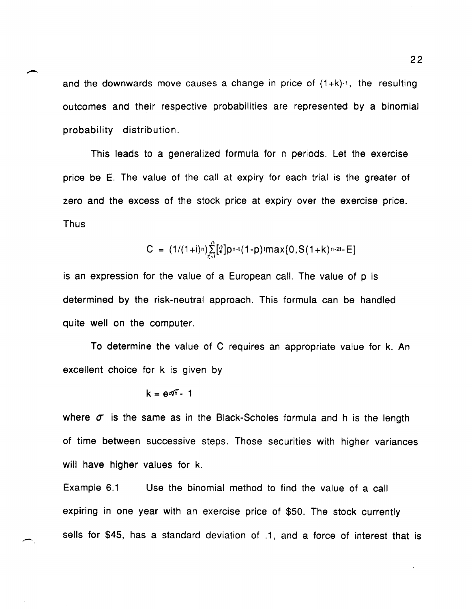and the downwards move causes a change in price of  $(1+k)^{-1}$ , the resulting outcomes and their respective probabilities are represented by a binomial probability distribution.

This leads to a generalized formula for n periods. Let the exercise price be E. The value of the call at expiry for each trial is the greater of zero and the excess of the stock price at expiry over the exercise price. Thus

$$
C = (1/(1+i)n)\sum_{i=1}^{n} [2]p^{n-i}(1-p) \cdot max[0, S(1+k)^{n-2t} - E]
$$

is an expression for the value of a European call. The value of p is determined by the risk-neutral approach. This formula can be handled quite well on the computer.

To determine the value of C requires an appropriate value for k. An excellent choice for k is given by

$$
k = e^{\sigma/\sqrt{n}} - 1
$$

where  $\sigma$  is the same as in the Black-Scholes formula and h is the length of time between successive steps. Those securities with higher variances will have higher values for k.

Example 6.1 Use the binomial method to find the value of a call expiring in one year with an exercise price of \$50. The stock currently sells for \$45, has a standard deviation of .1, and a force of interest that is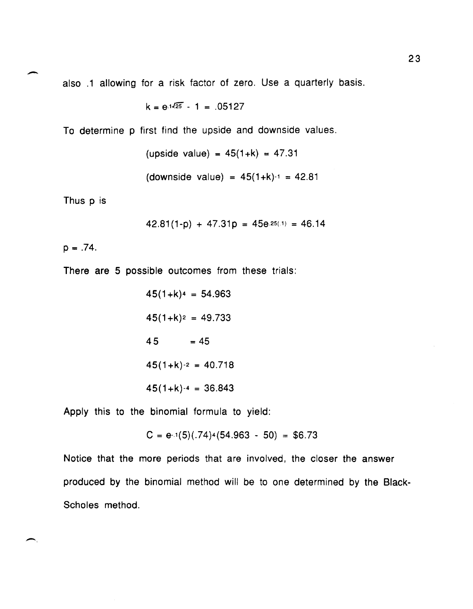also .1 allowing for a risk factor of zero. Use a quarterly basis.

$$
k = e^{1\sqrt{25}} - 1 = .05127
$$

To determine p first find the upside and downside values.

 $upside value) = 45(1+k) = 47.31$ (downside value) =  $45(1+k)-1 = 42.81$ 

Thus p is

 $\overline{\phantom{0}}$ 

 $\left( \frac{1}{2} \right)$ 

$$
42.81(1-p) + 47.31p = 45e^{.25(.1)} = 46.14
$$

 $p = .74$ .

There are 5 possible outcomes from these trials:

$$
45(1+k)^4 = 54.963
$$
  

$$
45(1+k)^2 = 49.733
$$
  

$$
45 = 45
$$
  

$$
45(1+k)^{-2} = 40.718
$$
  

$$
45(1+k)^{-4} = 36.843
$$

Apply this to the binomial formula to yield:

$$
C = e^{-1}(5)(.74)^{4}(54.963 - 50) = $6.73
$$

Notice that the more periods that are involved, the closer the answer produced by the binomial method will be to one determined by the Black-Scholes method.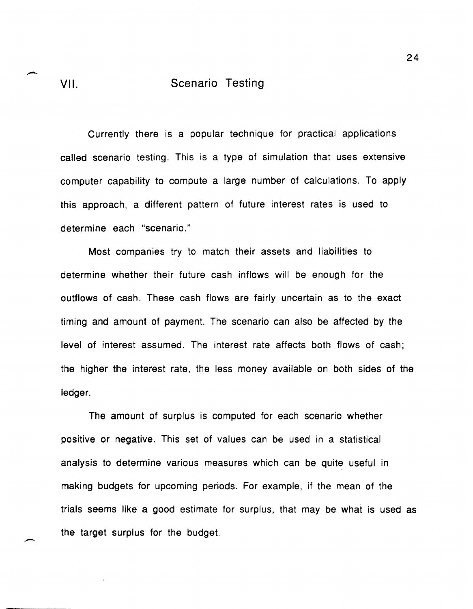## VII. **Scenario Testing**

Currently there is a popular technique for practical applications called scenario testing. This is a type of simulation that uses extensive computer capability to compute a large number of calculations. To apply this approach, a different pattern of future interest rates is used to determine each "scenario."

Most companies try to match their assets and liabilities to determine whether their future cash inflows will be enough for the outflows of cash. These cash flows are fairly uncertain as to the exact timing and amount of payment. The scenario can also be affected by the level of interest assumed. The interest rate affects both flows of cash; the higher the interest rate, the less money available on both sides of the ledger.

The amount of surplus is computed for each scenario whether positive or negative. This set of values can be used in a statistical analysis to determine various measures which can be quite useful in making budgets for upcoming periods. For example, if the mean of the trials seems like a good estimate for surplus, that may be what is used as the target surplus for the budget.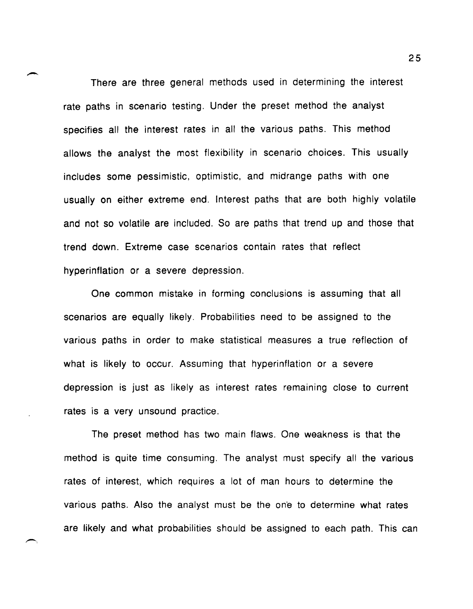There are three general methods used in determining the interest rate paths in scenario testing. Under the preset method the analyst specifies all the interest rates in all the various paths. This method allows the analyst the most flexibility in scenario choices. This usually includes some pessimistic, optimistic, and midrange paths with one usually on either extreme end. Interest paths that are both highly volatile and not so volatile are included. So are paths that trend up and those that trend down. Extreme case scenarios contain rates that reflect hyperinflation or a severe depression.

One common mistake in forming conclusions is assuming that all scenarios are equally likely. Probabilities need to be assigned to the various paths in order to make statistical measures a true reflection of what is likely to occur. Assuming that hyperinflation or a severe depression is just as likely as interest rates remaining close to current rates is a very unsound practice.

The preset method has two main flaws. One weakness is that the method is quite time consuming. The analyst must specify all the various rates of interest, which requires a lot of man hours to determine the various paths. Also the analyst must be the on'e to determine what rates are likely and what probabilities should be assigned to each path. This can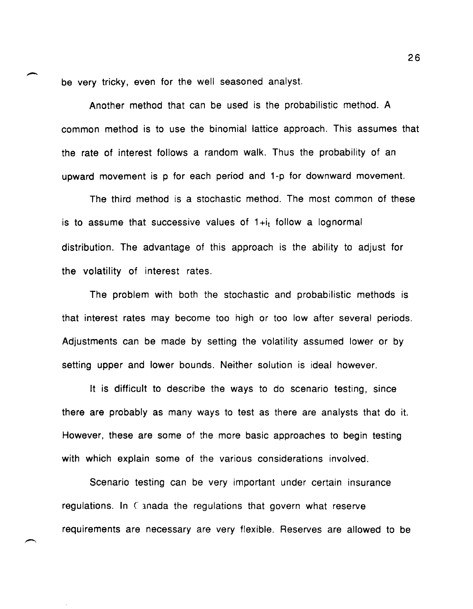be very tricky, even for the well seasoned analyst.

Another method that can be used is the probabilistic method. A common method is to use the binomial lattice approach. This assumes that the rate of interest follows a random walk. Thus the probability of an upward movement is p for each period and 1-p for downward movement.

The third method is a stochastic method. The most common of these is to assume that successive values of  $1+i<sub>t</sub>$  follow a lognormal distribution. The advantage of this approach is the ability to adjust for the volatility of interest rates.

The problem with both the stochastic and probabilistic methods is that interest rates may become too high or too low after several periods. Adjustments can be made by setting the volatility assumed lower or by setting upper and lower bounds. Neither solution is ideal however.

It is difficult to describe the ways to do scenario testing, since there are probably as many ways to test as there are analysts that do it. However, these are some of the more basic approaches to begin testing with which explain some of the various considerations involved.

Scenario testing can be very important under certain insurance regulations. In Canada the regulations that govern what reserve requirements are necessary are very flexible. Reserves are allowed to be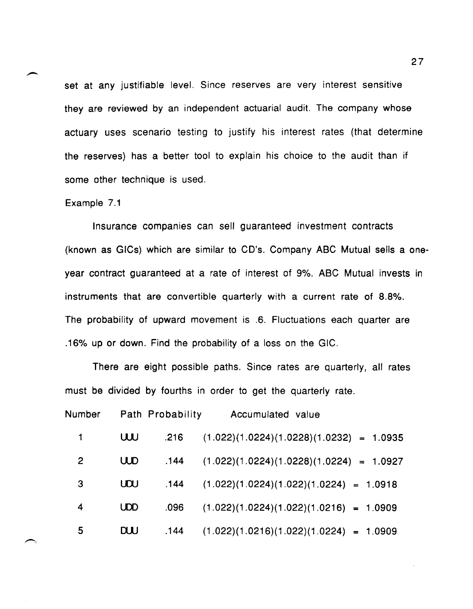set at any justifiable level. Since reserves are very interest sensitive they are reviewed by an independent actuarial audit. The company whose actuary uses scenario testing to justify his interest rates (that determine the reserves) has a better tool to explain his choice to the audit than if some other technique is used.

#### Example 7.1

 $\leftarrow$ 

Insurance companies can sell guaranteed investment contracts (known as GICs) which are similar to CD's. Company ABC Mutual sells a oneyear contract guaranteed at a rate of interest of 9%. ABC Mutual invests in instruments that are convertible quarterly with a current rate of 8.8%. The probability of upward movement is .6. Fluctuations each quarter are .16% up or down. Find the probability of a loss on the GIC.

There are eight possible paths. Since rates are quarterly, all rates must be divided by fourths in order to get the quarterly rate.

| Number       |            | Path Probability | Accumulated value                          |
|--------------|------------|------------------|--------------------------------------------|
|              | W          | .216             | $(1.022)(1.0224)(1.0228)(1.0232) = 1.0935$ |
| $\mathbf{2}$ | <b>UUD</b> | .144             | $(1.022)(1.0224)(1.0228)(1.0224) = 1.0927$ |
| 3            | UOU        | .144             | $(1.022)(1.0224)(1.022)(1.0224) = 1.0918$  |
| 4            | <b>UDD</b> | .096             | $(1.022)(1.0224)(1.022)(1.0216) = 1.0909$  |
| 5            | <b>DUU</b> | .144             | $(1.022)(1.0216)(1.022)(1.0224) = 1.0909$  |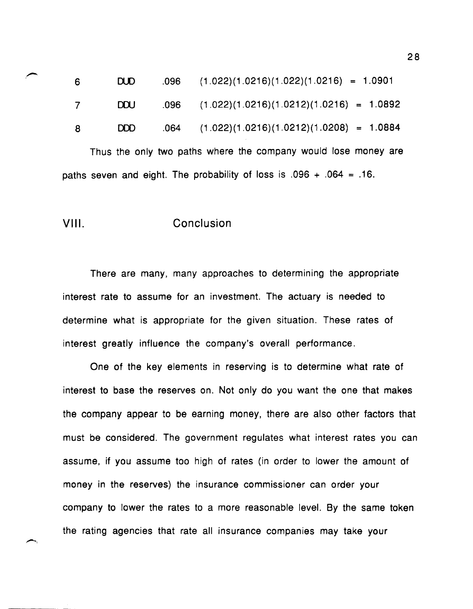| -6 | DUD.       | $.096$ $(1.022)(1.0216)(1.022)(1.0216) = 1.0901$  |
|----|------------|---------------------------------------------------|
|    | <b>DOU</b> | $.096$ $(1.022)(1.0216)(1.0212)(1.0216) = 1.0892$ |
| -8 | <b>DDD</b> | $.064$ $(1.022)(1.0216)(1.0212)(1.0208) = 1.0884$ |

Thus the only two paths where the company would lose money are paths seven and eight. The probability of loss is  $.096 + .064 = .16$ .

#### **VIII.** Conclusion

There are many, many approaches to determining the appropriate interest rate to assume for an investment. The actuary is needed to determine what is appropriate for the given situation. These rates of interest greatly influence the company's overall performance.

One of the key elements in reserving is to determine what rate of interest to base the reserves on. Not only do you want the one that makes the company appear to be earning money, there are also other factors that must be considered. The government regulates what interest rates you can assume, if you assume too high of rates (in order to lower the amount of money in the reserves) the insurance commissioner can order your company to lower the rates to a more reasonable level. By the same token the rating agencies that rate all insurance companies may take your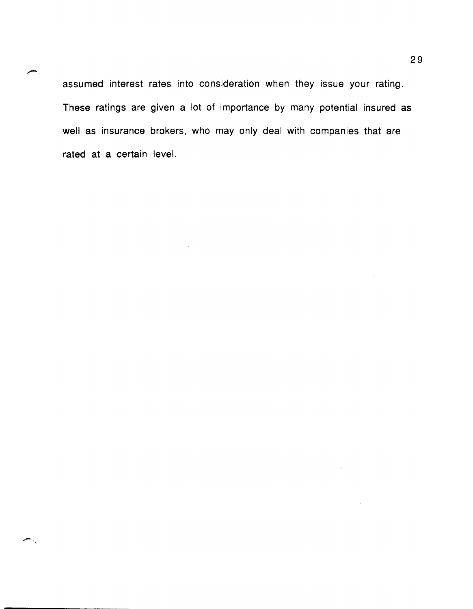assumed interest rates into consideration when they issue your rating. These ratings are given a lot of importance by many potential insured as well as insurance brokers, who may only deal with companies that are rated at a certain level.

-..